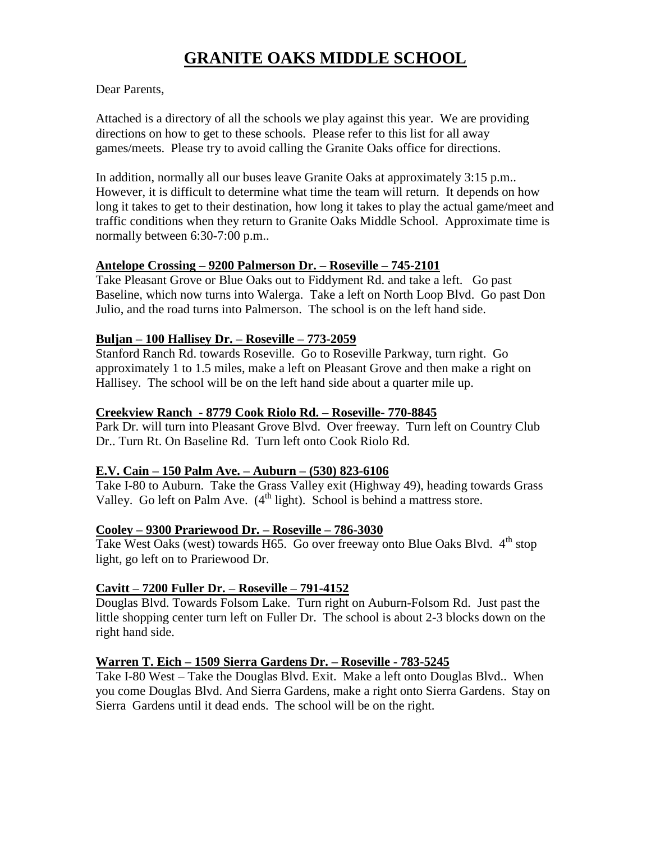# **GRANITE OAKS MIDDLE SCHOOL**

#### Dear Parents,

Attached is a directory of all the schools we play against this year. We are providing directions on how to get to these schools. Please refer to this list for all away games/meets. Please try to avoid calling the Granite Oaks office for directions.

In addition, normally all our buses leave Granite Oaks at approximately 3:15 p.m.. However, it is difficult to determine what time the team will return. It depends on how long it takes to get to their destination, how long it takes to play the actual game/meet and traffic conditions when they return to Granite Oaks Middle School. Approximate time is normally between 6:30-7:00 p.m..

#### **Antelope Crossing – 9200 Palmerson Dr. – Roseville – 745-2101**

Take Pleasant Grove or Blue Oaks out to Fiddyment Rd. and take a left. Go past Baseline, which now turns into Walerga. Take a left on North Loop Blvd. Go past Don Julio, and the road turns into Palmerson. The school is on the left hand side.

#### **Buljan – 100 Hallisey Dr. – Roseville – 773-2059**

Stanford Ranch Rd. towards Roseville. Go to Roseville Parkway, turn right. Go approximately 1 to 1.5 miles, make a left on Pleasant Grove and then make a right on Hallisey. The school will be on the left hand side about a quarter mile up.

#### **Creekview Ranch - 8779 Cook Riolo Rd. – Roseville- 770-8845**

Park Dr. will turn into Pleasant Grove Blvd. Over freeway. Turn left on Country Club Dr.. Turn Rt. On Baseline Rd. Turn left onto Cook Riolo Rd.

#### **E.V. Cain – 150 Palm Ave. – Auburn – (530) 823-6106**

Take I-80 to Auburn. Take the Grass Valley exit (Highway 49), heading towards Grass Valley. Go left on Palm Ave.  $(4^{\text{th}} \text{ light})$ . School is behind a mattress store.

#### **Cooley – 9300 Prariewood Dr. – Roseville – 786-3030**

Take West Oaks (west) towards H65. Go over freeway onto Blue Oaks Blvd.  $4<sup>th</sup>$  stop light, go left on to Prariewood Dr.

# **Cavitt – 7200 Fuller Dr. – Roseville – 791-4152**

Douglas Blvd. Towards Folsom Lake. Turn right on Auburn-Folsom Rd. Just past the little shopping center turn left on Fuller Dr. The school is about 2-3 blocks down on the right hand side.

# **Warren T. Eich – 1509 Sierra Gardens Dr. – Roseville - 783-5245**

Take I-80 West – Take the Douglas Blvd. Exit. Make a left onto Douglas Blvd.. When you come Douglas Blvd. And Sierra Gardens, make a right onto Sierra Gardens. Stay on Sierra Gardens until it dead ends. The school will be on the right.